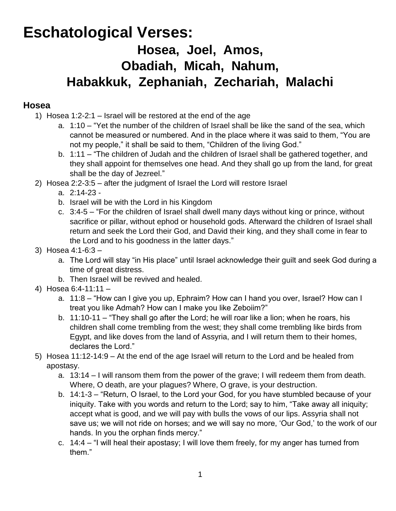# **Eschatological Verses: Hosea, Joel, Amos, Obadiah, Micah, Nahum, Habakkuk, Zephaniah, Zechariah, Malachi**

#### **Hosea**

- 1) Hosea 1:2-2:1 Israel will be restored at the end of the age
	- a. 1:10 "Yet the number of the children of Israel shall be like the sand of the sea, which cannot be measured or numbered. And in the place where it was said to them, "You are not my people," it shall be said to them, "Children of the living God."
	- b. 1:11 "The children of Judah and the children of Israel shall be gathered together, and they shall appoint for themselves one head. And they shall go up from the land, for great shall be the day of Jezreel."
- 2) Hosea 2:2-3:5 after the judgment of Israel the Lord will restore Israel
	- a. 2:14-23 -
	- b. Israel will be with the Lord in his Kingdom
	- c. 3:4-5 "For the children of Israel shall dwell many days without king or prince, without sacrifice or pillar, without ephod or household gods. Afterward the children of Israel shall return and seek the Lord their God, and David their king, and they shall come in fear to the Lord and to his goodness in the latter days."
- 3) Hosea 4:1-6:3
	- a. The Lord will stay "in His place" until Israel acknowledge their guilt and seek God during a time of great distress.
	- b. Then Israel will be revived and healed.
- 4) Hosea 6:4-11:11
	- a. 11:8 "How can I give you up, Ephraim? How can I hand you over, Israel? How can I treat you like Admah? How can I make you like Zeboiim?"
	- b. 11:10-11 "They shall go after the Lord; he will roar like a lion; when he roars, his children shall come trembling from the west; they shall come trembling like birds from Egypt, and like doves from the land of Assyria, and I will return them to their homes, declares the Lord."
- 5) Hosea 11:12-14:9 At the end of the age Israel will return to the Lord and be healed from apostasy.
	- a. 13:14 I will ransom them from the power of the grave; I will redeem them from death. Where, O death, are your plagues? Where, O grave, is your destruction.
	- b. 14:1-3 "Return, O Israel, to the Lord your God, for you have stumbled because of your iniquity. Take with you words and return to the Lord; say to him, "Take away all iniquity; accept what is good, and we will pay with bulls the vows of our lips. Assyria shall not save us; we will not ride on horses; and we will say no more, 'Our God,' to the work of our hands. In you the orphan finds mercy."
	- c. 14:4 "I will heal their apostasy; I will love them freely, for my anger has turned from them."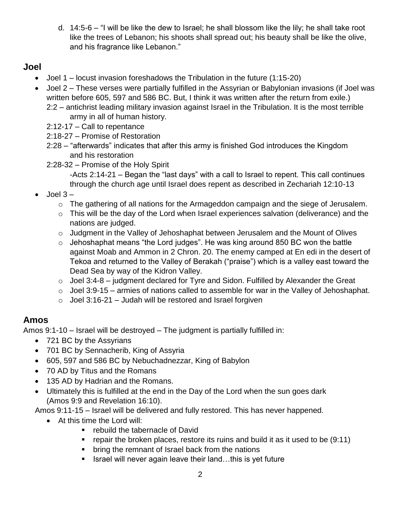d. 14:5-6 – "I will be like the dew to Israel; he shall blossom like the lily; he shall take root like the trees of Lebanon; his shoots shall spread out; his beauty shall be like the olive, and his fragrance like Lebanon."

#### **Joel**

- Joel 1 locust invasion foreshadows the Tribulation in the future (1:15-20)
- Joel 2 These verses were partially fulfilled in the Assyrian or Babylonian invasions (if Joel was written before 605, 597 and 586 BC. But, I think it was written after the return from exile.) 2:2 – antichrist leading military invasion against Israel in the Tribulation. It is the most terrible
	- army in all of human history.
	- 2:12-17 Call to repentance
	- 2:18-27 Promise of Restoration
	- 2:28 "afterwards" indicates that after this army is finished God introduces the Kingdom and his restoration
	- 2:28-32 Promise of the Holy Spirit
		- -Acts 2:14-21 Began the "last days" with a call to Israel to repent. This call continues through the church age until Israel does repent as described in Zechariah 12:10-13
- Joel 3
	- o The gathering of all nations for the Armageddon campaign and the siege of Jerusalem.
	- o This will be the day of the Lord when Israel experiences salvation (deliverance) and the nations are judged.
	- o Judgment in the Valley of Jehoshaphat between Jerusalem and the Mount of Olives
	- $\circ$  Jehoshaphat means "the Lord judges". He was king around 850 BC won the battle against Moab and Ammon in 2 Chron. 20. The enemy camped at En edi in the desert of Tekoa and returned to the Valley of Berakah ("praise") which is a valley east toward the Dead Sea by way of the Kidron Valley.
	- $\circ$  Joel 3:4-8 judgment declared for Tyre and Sidon. Fulfilled by Alexander the Great
	- $\circ$  Joel 3:9-15 armies of nations called to assemble for war in the Valley of Jehoshaphat.
	- $\circ$  Joel 3:16-21 Judah will be restored and Israel forgiven

### **Amos**

Amos 9:1-10 – Israel will be destroyed – The judgment is partially fulfilled in:

- 721 BC by the Assyrians
- 701 BC by Sennacherib, King of Assyria
- 605, 597 and 586 BC by Nebuchadnezzar, King of Babylon
- 70 AD by Titus and the Romans
- 135 AD by Hadrian and the Romans.
- Ultimately this is fulfilled at the end in the Day of the Lord when the sun goes dark (Amos 9:9 and Revelation 16:10).

Amos 9:11-15 – Israel will be delivered and fully restored. This has never happened.

- At this time the Lord will:
	- **F** rebuild the tabernacle of David
	- **•** repair the broken places, restore its ruins and build it as it used to be  $(9:11)$
	- bring the remnant of Israel back from the nations
	- Israel will never again leave their land...this is yet future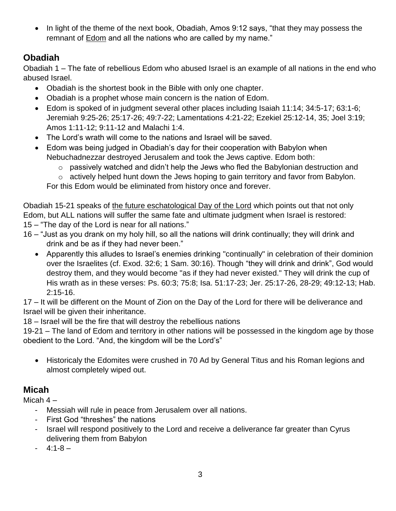• In light of the theme of the next book, Obadiah, Amos 9:12 says, "that they may possess the remnant of **Edom** and all the nations who are called by my name."

#### **Obadiah**

Obadiah 1 – The fate of rebellious Edom who abused Israel is an example of all nations in the end who abused Israel.

- Obadiah is the shortest book in the Bible with only one chapter.
- Obadiah is a prophet whose main concern is the nation of Edom.
- Edom is spoked of in judgment several other places including Isaiah 11:14; 34:5-17; 63:1-6; Jeremiah 9:25-26; 25:17-26; 49:7-22; Lamentations 4:21-22; Ezekiel 25:12-14, 35; Joel 3:19; Amos 1:11-12; 9:11-12 and Malachi 1:4.
- The Lord's wrath will come to the nations and Israel will be saved.
- Edom was being judged in Obadiah's day for their cooperation with Babylon when Nebuchadnezzar destroyed Jerusalem and took the Jews captive. Edom both:
	- o passively watched and didn't help the Jews who fled the Babylonian destruction and
	- o actively helped hunt down the Jews hoping to gain territory and favor from Babylon.

For this Edom would be eliminated from history once and forever.

Obadiah 15-21 speaks of the future eschatological Day of the Lord which points out that not only Edom, but ALL nations will suffer the same fate and ultimate judgment when Israel is restored: 15 – "The day of the Lord is near for all nations."

- 16 "Just as you drank on my holy hill, so all the nations will drink continually; they will drink and drink and be as if they had never been."
	- Apparently this alludes to Israel's enemies drinking "continually" in celebration of their dominion over the Israelites (cf. Exod. 32:6; 1 Sam. 30:16). Though "they will drink and drink", God would destroy them, and they would become "as if they had never existed." They will drink the cup of His wrath as in these verses: Ps. 60:3; 75:8; Isa. 51:17-23; Jer. 25:17-26, 28-29; 49:12-13; Hab. 2:15-16.

17 – It will be different on the Mount of Zion on the Day of the Lord for there will be deliverance and Israel will be given their inheritance.

18 – Israel will be the fire that will destroy the rebellious nations

19-21 – The land of Edom and territory in other nations will be possessed in the kingdom age by those obedient to the Lord. "And, the kingdom will be the Lord's"

 Historicaly the Edomites were crushed in 70 Ad by General Titus and his Roman legions and almost completely wiped out.

#### **Micah**

Micah 4 –

- Messiah will rule in peace from Jerusalem over all nations.
- First God "threshes" the nations
- Israel will respond positively to the Lord and receive a deliverance far greater than Cyrus delivering them from Babylon
- $4:1 8 -$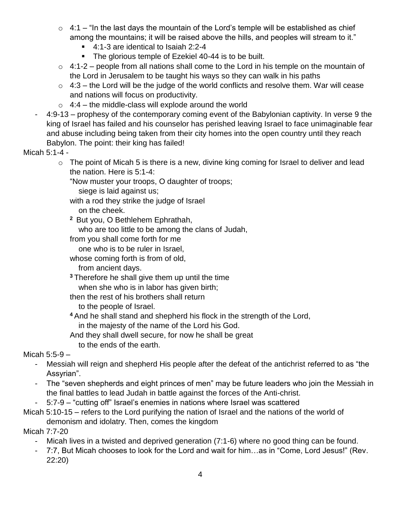- $\circ$  4:1 "In the last days the mountain of the Lord's temple will be established as chief among the mountains; it will be raised above the hills, and peoples will stream to it."
	- 4:1-3 are identical to Isaiah 2:2-4
	- **The glorious temple of Ezekiel 40-44 is to be built.**
- $\circ$  4:1-2 people from all nations shall come to the Lord in his temple on the mountain of the Lord in Jerusalem to be taught his ways so they can walk in his paths
- $\circ$  4:3 the Lord will be the judge of the world conflicts and resolve them. War will cease and nations will focus on productivity.
- $\circ$  4:4 the middle-class will explode around the world
- 4:9-13 prophesy of the contemporary coming event of the Babylonian captivity. In verse 9 the king of Israel has failed and his counselor has perished leaving Israel to face unimaginable fear and abuse including being taken from their city homes into the open country until they reach Babylon. The point: their king has failed!

Micah 5:1-4 -

o The point of Micah 5 is there is a new, divine king coming for Israel to deliver and lead the nation. Here is 5:1-4:

"Now muster your troops, O daughter of troops;

siege is laid against us;

with a rod they strike the judge of Israel

on the cheek.

**<sup>2</sup>** But you, O Bethlehem Ephrathah,

who are too little to be among the clans of Judah,

from you shall come forth for me

one who is to be ruler in Israel,

whose coming forth is from of old,

from ancient days.

**<sup>3</sup>** Therefore he shall give them up until the time when she who is in labor has given birth;

then the rest of his brothers shall return

to the people of Israel.

**<sup>4</sup>** And he shall stand and shepherd his flock in the strength of the Lord, in the majesty of the name of the Lord his God.

And they shall dwell secure, for now he shall be great to the ends of the earth.

Micah 5:5-9 –

- Messiah will reign and shepherd His people after the defeat of the antichrist referred to as "the Assyrian".
- The "seven shepherds and eight princes of men" may be future leaders who join the Messiah in the final battles to lead Judah in battle against the forces of the Anti-christ.

- 5:7-9 – "cutting off" Israel's enemies in nations where Israel was scattered

Micah 5:10-15 – refers to the Lord purifying the nation of Israel and the nations of the world of demonism and idolatry. Then, comes the kingdom

Micah 7:7-20

- Micah lives in a twisted and deprived generation (7:1-6) where no good thing can be found.
- 7:7, But Micah chooses to look for the Lord and wait for him...as in "Come, Lord Jesus!" (Rev. 22:20)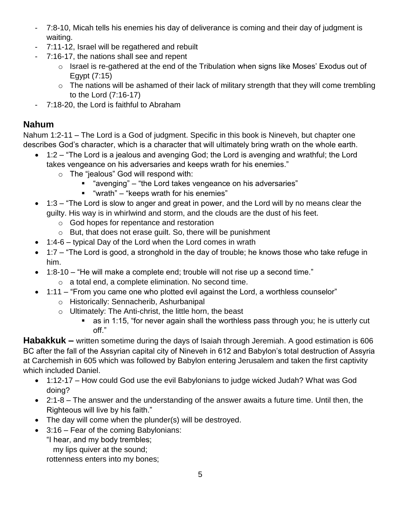- 7:8-10, Micah tells his enemies his day of deliverance is coming and their day of judgment is waiting.
- 7:11-12, Israel will be regathered and rebuilt
- 7:16-17, the nations shall see and repent
	- o Israel is re-gathered at the end of the Tribulation when signs like Moses' Exodus out of Egypt (7:15)
	- $\circ$  The nations will be ashamed of their lack of military strength that they will come trembling to the Lord (7:16-17)
- 7:18-20, the Lord is faithful to Abraham

### **Nahum**

Nahum 1:2-11 – The Lord is a God of judgment. Specific in this book is Nineveh, but chapter one describes God's character, which is a character that will ultimately bring wrath on the whole earth.

- 1:2 "The Lord is a jealous and avenging God; the Lord is avenging and wrathful; the Lord takes vengeance on his adversaries and keeps wrath for his enemies."
	- o The "jealous" God will respond with:
		- "avenging" "the Lord takes vengeance on his adversaries"
		- "wrath" "keeps wrath for his enemies"
- 1:3 "The Lord is slow to anger and great in power, and the Lord will by no means clear the guilty. His way is in whirlwind and storm, and the clouds are the dust of his feet.
	- o God hopes for repentance and restoration
	- o But, that does not erase guilt. So, there will be punishment
- 1:4-6 typical Day of the Lord when the Lord comes in wrath
- 1:7 "The Lord is good, a stronghold in the day of trouble; he knows those who take refuge in him.
- 1:8-10 "He will make a complete end; trouble will not rise up a second time."
	- o a total end, a complete elimination. No second time.
- 1:11 "From you came one who plotted evil against the Lord, a worthless counselor"
	- o Historically: Sennacherib, Ashurbanipal
	- o Ultimately: The Anti-christ, the little horn, the beast
		- as in 1:15, "for never again shall the worthless pass through you; he is utterly cut off."

**Habakkuk –** written sometime during the days of Isaiah through Jeremiah. A good estimation is 606 BC after the fall of the Assyrian capital city of Nineveh in 612 and Babylon's total destruction of Assyria at Carchemish in 605 which was followed by Babylon entering Jerusalem and taken the first captivity which included Daniel.

- 1:12-17 How could God use the evil Babylonians to judge wicked Judah? What was God doing?
- 2:1-8 The answer and the understanding of the answer awaits a future time. Until then, the Righteous will live by his faith."
- The day will come when the plunder(s) will be destroyed.
- 3:16 Fear of the coming Babylonians:
	- "I hear, and my body trembles;
		- my lips quiver at the sound;

rottenness enters into my bones;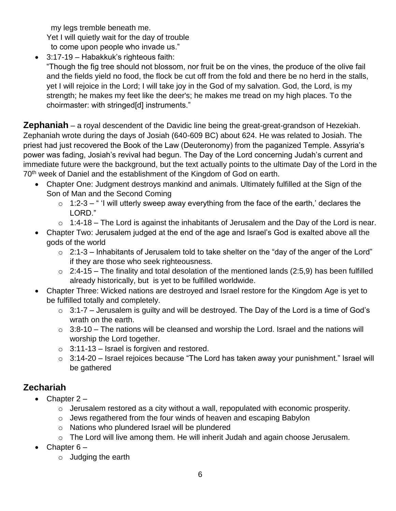my legs tremble beneath me.

Yet I will quietly wait for the day of trouble

to come upon people who invade us."

3:17-19 – Habakkuk's righteous faith:

"Though the fig tree should not blossom, nor fruit be on the vines, the produce of the olive fail and the fields yield no food, the flock be cut off from the fold and there be no herd in the stalls, yet I will rejoice in the Lord; I will take joy in the God of my salvation. God, the Lord, is my strength; he makes my feet like the deer's; he makes me tread on my high places. To the choirmaster: with stringed[d] instruments."

**Zephaniah** – a royal descendent of the Davidic line being the great-great-grandson of Hezekiah. Zephaniah wrote during the days of Josiah (640-609 BC) about 624. He was related to Josiah. The priest had just recovered the Book of the Law (Deuteronomy) from the paganized Temple. Assyria's power was fading, Josiah's revival had begun. The Day of the Lord concerning Judah's current and immediate future were the background, but the text actually points to the ultimate Day of the Lord in the 70<sup>th</sup> week of Daniel and the establishment of the Kingdom of God on earth.

- Chapter One: Judgment destroys mankind and animals. Ultimately fulfilled at the Sign of the Son of Man and the Second Coming
	- $\circ$  1:2-3 " I will utterly sweep away everything from the face of the earth,' declares the LORD."
	- $\circ$  1:4-18 The Lord is against the inhabitants of Jerusalem and the Day of the Lord is near.
- Chapter Two: Jerusalem judged at the end of the age and Israel's God is exalted above all the gods of the world
	- $\circ$  2:1-3 Inhabitants of Jerusalem told to take shelter on the "day of the anger of the Lord" if they are those who seek righteousness.
	- $\circ$  2:4-15 The finality and total desolation of the mentioned lands (2:5,9) has been fulfilled already historically, but is yet to be fulfilled worldwide.
- Chapter Three: Wicked nations are destroyed and Israel restore for the Kingdom Age is yet to be fulfilled totally and completely.
	- $\circ$  3:1-7 Jerusalem is quilty and will be destroyed. The Day of the Lord is a time of God's wrath on the earth.
	- $\circ$  3:8-10 The nations will be cleansed and worship the Lord. Israel and the nations will worship the Lord together.
	- $\circ$  3:11-13 Israel is forgiven and restored.
	- $\circ$  3:14-20 Israel rejoices because "The Lord has taken away your punishment." Israel will be gathered

## **Zechariah**

- $\bullet$  Chapter 2
	- $\circ$  Jerusalem restored as a city without a wall, repopulated with economic prosperity.
	- $\circ$  Jews regathered from the four winds of heaven and escaping Babylon
	- o Nations who plundered Israel will be plundered
	- o The Lord will live among them. He will inherit Judah and again choose Jerusalem.
- Chapter  $6$ 
	- o Judging the earth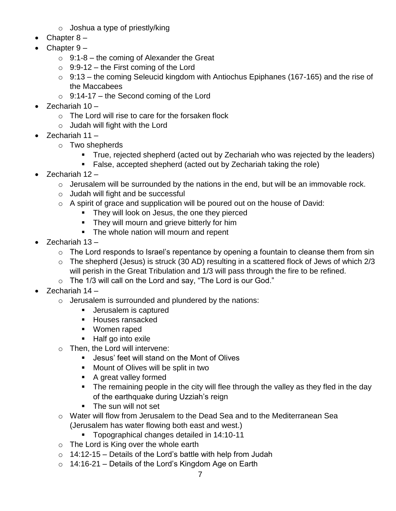- $\circ$  Joshua a type of priestly/king
- Chapter 8 –
- Chapter 9
	- $\circ$  9:1-8 the coming of Alexander the Great
	- $\circ$  9:9-12 the First coming of the Lord
	- $\circ$  9:13 the coming Seleucid kingdom with Antiochus Epiphanes (167-165) and the rise of the Maccabees
	- $\circ$  9:14-17 the Second coming of the Lord
- Zechariah 10
	- o The Lord will rise to care for the forsaken flock
	- $\circ$  Judah will fight with the Lord
- Zechariah 11
	- o Two shepherds
		- True, rejected shepherd (acted out by Zechariah who was rejected by the leaders)
		- False, accepted shepherd (acted out by Zechariah taking the role)
- $\bullet$  Zechariah 12
	- $\circ$  Jerusalem will be surrounded by the nations in the end, but will be an immovable rock.
	- o Judah will fight and be successful
	- $\circ$  A spirit of grace and supplication will be poured out on the house of David:
		- They will look on Jesus, the one they pierced
		- **They will mourn and grieve bitterly for him**
		- The whole nation will mourn and repent
- Zechariah 13
	- $\circ$  The Lord responds to Israel's repentance by opening a fountain to cleanse them from sin
	- $\circ$  The shepherd (Jesus) is struck (30 AD) resulting in a scattered flock of Jews of which 2/3 will perish in the Great Tribulation and 1/3 will pass through the fire to be refined.
	- o The 1/3 will call on the Lord and say, "The Lord is our God."
- $\bullet$  Zechariah 14
	- o Jerusalem is surrounded and plundered by the nations:
		- **Jerusalem is captured**
		- **Houses ransacked**
		- Women raped
		- Half go into exile
	- o Then, the Lord will intervene:
		- Jesus' feet will stand on the Mont of Olives
		- **Mount of Olives will be split in two**
		- A great valley formed
		- The remaining people in the city will flee through the valley as they fled in the day of the earthquake during Uzziah's reign
		- The sun will not set
	- o Water will flow from Jerusalem to the Dead Sea and to the Mediterranean Sea (Jerusalem has water flowing both east and west.)
		- **Topographical changes detailed in 14:10-11**
	- o The Lord is King over the whole earth
	- $\circ$  14:12-15 Details of the Lord's battle with help from Judah
	- o 14:16-21 Details of the Lord's Kingdom Age on Earth